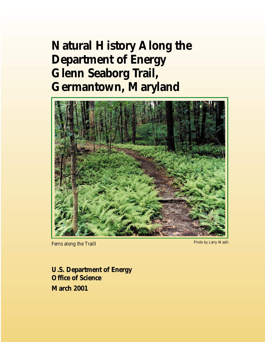# **Natural History Along the Department of Energy Glenn Seaborg Trail, Germantown, Maryland**



*Ferns along the Trail*l

Photo by Larry Waslh

**U.S. Department of Energy Office of Science March 2001**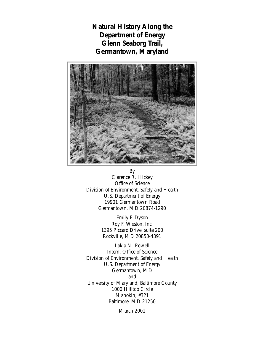**Natural History Along the Department of Energy Glenn Seaborg Trail, Germantown, Maryland**



By Clarence R. Hickey Office of Science Division of Environment, Safety and Health U.S. Department of Energy 19901 Germantown Road Germantown, MD 20874-1290

> Emily F. Dyson Roy F. Weston, Inc. 1395 Piccard Drive, suite 200 Rockville, MD 20850-4391

Lakia N. Powell Intern, Office of Science Division of Environment, Safety and Health U.S. Department of Energy Germantown, MD and University of Maryland, Baltimore County 1000 Hilltop Circle Manokin, #321 Baltimore, MD 21250

March 2001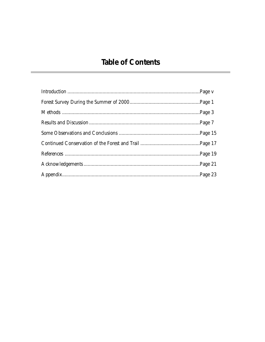# **Table of Contents**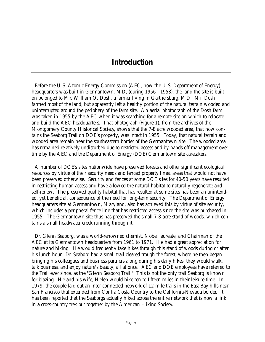### **Introduction**

Before the U.S. Atomic Energy Commission (AEC, now the U.S. Department of Energy) headquarters was built in Germantown, MD, (during 1956 - 1958), the land the site is built on belonged to Mr. William O. Dosh, a farmer living in Gaithersburg, MD. Mr. Dosh farmed most of the land, but apparently left a healthy portion of the natural terrain wooded and uninterrupted around the periphery of the farm site. An aerial photograph of the Dosh farm was taken in 1955 by the AEC when it was searching for a remote site on which to relocate and build the AEC headquarters. That photograph (Figure 1), from the archives of the Montgomery County Historical Society, shows that the 7-8 acre wooded area, that now contains the Seaborg Trail on DOE's property, was intact in 1955. Today, that natural terrain and wooded area remain near the southeastern border of the Germantown site. The wooded area has remained relatively undisturbed due to restricted access and by hands-off management over time by the AEC and the Department of Energy (DOE) Germantown site caretakers.

A number of DOE's sites nationwide have preserved forests and other significant ecological resources by virtue of their security needs and fenced property lines, areas that would not have been preserved otherwise. Security and fences at some DOE sites for 40-50 years have resulted in restricting human access and have allowed the natural habitat to naturally regenerate and self-renew. The preserved quality habitat that has resulted at some sites has been an unintended, yet beneficial, consequence of the need for long-term security. The Department of Energy headquarters site at Germantown, Maryland, also has achieved this by virtue of site security, which includes a peripheral fence line that has restricted access since the site was purchased in 1955. The Germantown site thus has preserved the small 7-8 acre stand of woods, which contains a small headwater creek running through it.

Dr. Glenn Seaborg, was a world-renowned chemist, Nobel laureate, and Chairman of the AEC at its Germantown headquarters from 1961 to 1971. He had a great appreciation for nature and hiking. He would frequently take hikes through this stand of woods during or after his lunch hour. Dr. Seaborg had a small trail cleared trough the forest, where he then began bringing his colleagues and business partners along during his daily hikes; they would walk, talk business, and enjoy nature's beauty, all at once. AEC and DOE employees have referred to the Trail ever since, as the "Glenn Seaborg Trail." This is not the only trail Seaborg is known for blazing. He and his wife, Helen would hike ten to fifteen miles in their leisure time. In 1979, the couple laid out an inter-connected network of 12-mile trails in the East Bay hills near San Francisco that extended from Contra Costa Country to the California-Nevada border. It has been reported that the Seaborgs actually hiked across the entire network that is now a link in a cross-country trek put together by the American Hiking Society.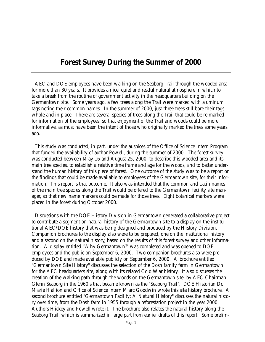### **Forest Survey During the Summer of 2000**

AEC and DOE employees have been walking on the Seaborg Trail through the wooded area for more than 30 years. It provides a nice, quiet and restful natural atmosphere in which to take a break from the routine of government activity in the headquarters building on the Germantown site. Some years ago, a few trees along the Trail were marked with aluminum tags noting their common names. In the summer of 2000, just three trees still bore their tags whole and in place. There are several species of trees along the Trail that could be re-marked for information of the employees, so that enjoyment of the Trail and woods could be more informative, as must have been the intent of those who originally marked the trees some years ago.

This study was conducted, in part, under the auspices of the Office of Science Intern Program that funded the availability of author Powell, during the summer of 2000. The forest survey was conducted between May 16 and August 25, 2000, to describe this wooded area and its main tree species, to establish a relative time frame and age for the woods, and to better understand the human history of this piece of forest. One outcome of the study was to be a report on the findings that could be made available to employees of the Germantown site, for their information. This report is that outcome. It also was intended that the common and Latin names of the main tree species along the Trail would be offered to the Germantown facility site manager, so that new name markers could be made for those trees. Eight botanical markers were placed in the forest during October 2000.

Discussions with the DOE History Division in Germantown generated a collaborative project to contribute a segment on natural history of the Germantown site to a display on the institutional AEC/DOE history that was being designed and produced by the History Division. Companion brochures to the display also were to be prepared, one on the institutional history, and a second on the natural history, based on the results of this forest survey and other information. A display entitled "Why Germantown?" was completed and was opened to DOE employees and the public on September 6, 2000. Two companion brochures also were produced by DOE and made available publicly on September 6, 2000. A brochure entitled "Germantown Site History" discusses the selection of the Dosh family farm in Germantown for the AEC headquarters site, along with its related Cold War history. It also discusses the creation of the walking path through the woods on the Germantown site, by AEC Chairman Glenn Seaborg in the 1960's that became known as the "Seaborg Trail". DOE Historian Dr. Marie Hallion and Office of Science intern Marc Goodwin wrote this site history brochure. A second brochure entitled "Germantown Facility: A Natural History" discusses the natural history over time, from the Dosh farm in 1955 through a reforestation project in the year 2000. Authors Hickey and Powell wrote it. The brochure also relates the natural history along the Seaborg Trail, which is summarized in large part from earlier drafts of this report. Some prelim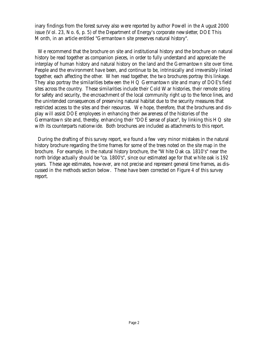inary findings from the forest survey also were reported by author Powell in the August 2000 issue (Vol. 23, No. 6, p. 5) of the Department of Energy's corporate newsletter, *DOE This Month*, in an article entitled "Germantown site preserves natural history".

We recommend that the brochure on site and institutional history and the brochure on natural history be read together as companion pieces, in order to fully understand and appreciate the interplay of human history and natural history on the land and the Germantown site over time. People and the environment have been, and continue to be, intrinsically and irreversibly linked together, each affecting the other. When read together, the two brochures portray this linkage. They also portray the similarities between the  $HQ$  Germantown site and many of DOE's field sites across the country. These similarities include their Cold War histories, their remote siting for safety and security, the encroachment of the local community right up to the fence lines, and the unintended consequences of preserving natural habitat due to the security measures that restricted access to the sites and their resources. We hope, therefore, that the brochures and display will assist DOE employees in enhancing their awareness of the histories of the Germantown site and, thereby, enhancing their "DOE sense of place", by linking this HQ site with its counterparts nationwide. Both brochures are included as attachments to this report.

During the drafting of this survey report, we found a few very minor mistakes in the natural history brochure regarding the time frames for some of the trees noted on the site map in the brochure. For example, in the natural history brochure, the "White Oak ca. 1810's" near the north bridge actually should be "ca. 1800's", since our estimated age for that white oak is 192 years. These age estimates, however, are not precise and represent general time frames, as discussed in the methods section below. These have been corrected on Figure 4 of this survey report.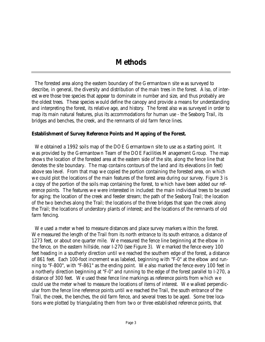The forested area along the eastern boundary of the Germantown site was surveyed to describe, in general, the diversity and distribution of the main trees in the forest. Also, of interest were those tree species that appear to dominate in number and size, and thus probably are the oldest trees. These species would define the canopy and provide a means for understanding and interpreting the forest, its relative age, and history. The forest also was surveyed in order to map its main natural features, plus its accommodations for human use - the Seaborg Trail, its bridges and benches, the creek, and the remnants of old farm fence lines.

#### **Establishment of Survey Reference Points and Mapping of the Forest.**

We obtained a 1992 soils map of the DOE Germantown site to use as a starting point. It was provided by the Germantown Team of the DOE Facilities Management Group. The map shows the location of the forested area at the eastern side of the site, along the fence line that denotes the site boundary. The map contains contours of the land and its elevations (in feet) above sea level. From that map we copied the portion containing the forested area, on which we could plot the locations of the main features of the forest area during our survey. Figure 3 is a copy of the portion of the soils map containing the forest, to which have been added our reference points. The features we were interested in included: the main individual trees to be used for aging; the location of the creek and feeder stream; the path of the Seaborg Trail; the location of the two benches along the Trail; the locations of the three bridges that span the creek along the Trail; the locations of understory plants of interest; and the locations of the remnants of old farm fencing.

We used a meter wheel to measure distances and place survey markers within the forest. We measured the length of the Trail from its north entrance to its south entrance, a distance of 1273 feet, or about one quarter mile. We measured the fence line beginning at the elbow in the fence, on the eastern hillside, near I-270 (see Figure 3). We marked the fence every 100 feet heading in a southerly direction until we reached the southern edge of the forest, a distance of 861 feet. Each 100-foot increment was labeled, beginning with "F-0" at the elbow and running to "F-800", with "F-861" as the ending point. We also marked the fence every 100 feet in a northerly direction beginning at "F-0" and running to the edge of the forest parallel to I-270, a distance of 300 feet. We used these fence line markings as reference points from which we could use the meter wheel to measure the locations of items of interest. We walked perpendicular from the fence line reference points until we reached the Trail, the south entrance of the Trail, the creek, the benches, the old farm fence, and several trees to be aged. Some tree locations were plotted by triangulating them from two or three established reference points, that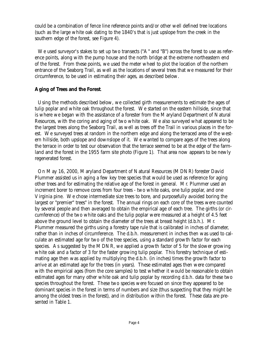could be a combination of fence line reference points and/or other well defined tree locations (such as the large white oak dating to the 1840's that is just upslope from the creek in the southern edge of the forest, see Figure 4).

We used surveyor's stakes to set up two transects ("A" and "B") across the forest to use as reference points, along with the pump house and the north bridge at the extreme northeastern end of the forest. From these points, we used the meter wheel to plot the location of the northern entrance of the Seaborg Trail, as well as the locations of several trees that we measured for their circumference, to be used in estimating their ages, as described below.

#### **Aging of Trees and the Forest**.

Using the methods described below, we collected girth measurements to estimate the ages of tulip poplar and white oak throughout the forest. We started on the eastern hillside, since that is where we began with the assistance of a forester from the Maryland Department of Natural Resources, with the coring and aging of two white oak. We also surveyed what appeared to be the largest trees along the Seaborg Trail, as well as trees off the Trail in various places in the forest. We surveyed trees at random in the northern edge and along the terraced area of the western hillside, both upslope and downslope of it. We wanted to compare ages of the trees along the terrace in order to test our observation that the terrace seemed to be at the edge of the farmland and the forest in the 1955 farm site photo (Figure 1). That area now appears to be newly regenerated forest.

On May 16, 2000, Maryland Department of Natural Resources (MDNR) forester David Plummer assisted us in aging a few key tree species that would be used as reference for aging other trees and for estimating the relative age of the forest in general. Mr. Plummer used an increment borer to remove cores from four trees - two white oaks, one tulip poplar, and one Virginia pine. We chose intermediate size trees to bore, and purposefully avoided boring the largest or "premier" trees" in the forest. The annual rings on each core of the trees were counted by several people and then averaged to obtain the empirical age of each tree. The girths (or circumference) of the two white oaks and the tulip poplar were measured at a height of 4.5 feet above the ground level to obtain the diameter of the trees at breast height (d.b.h.). Mr. Plummer measured the girths using a forestry tape rule that is calibrated in inches of diameter, rather than in inches of circumference. The d.b.h. measurement in inches then was used to calculate an estimated age for two of the tree species, using a standard growth factor for each species. As suggested by the MDNR, we applied a growth factor of 5 for the slower growing white oak and a factor of 3 for the faster growing tulip poplar. This forestry technique of estimating age then was applied by multiplying the d.b.h. (in inches) times the growth factor to arrive at an estimated age for the trees (in years). These estimated ages then were compared with the empirical ages (from the core samples) to test whether it would be reasonable to obtain estimated ages for many other white oak and tulip poplar by recording d.b.h. data for these two species throughout the forest. These two species were focused on since they appeared to be dominant species in the forest in terms of numbers and size (thus suspecting that they might be among the oldest trees in the forest), and in distribution within the forest. These data are presented in Table 1.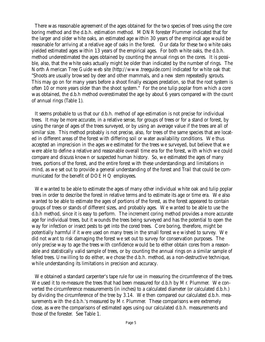There was reasonable agreement of the ages obtained for the two species of trees using the core boring method and the d.b.h. estimation method. MDNR forester Plummer indicated that for the larger and older white oaks, an estimated age within 30 years of the empirical age would be reasonable for arriving at a relative age of oaks in the forest. Our data for these two white oaks yielded estimated ages within 13 years of the empirical ages. For both white oaks, the d.b.h. method underestimated the ages obtained by counting the annual rings on the cores. It is possible, also, that the white oaks actually might be older than indicated by the number of rings. *The North American Tree Guide* web site (http://www.treeguide.com) indicated for white oak that: "Shoots are usually browsed by deer and other mammals, and a new stem repeatedly sprouts. This may go on for many years before a shoot finally escapes predation, so that the root system is often 10 or more years older than the shoot system." For the one tulip poplar from which a core was obtained, the d.b.h method overestimated the age by about 6 years compared with the count of annual rings (Table 1).

It seems probable to us that our d.b.h. method of age estimation is not precise for individual trees. It may be more accurate, in a relative sense, for groups of trees or for a stand or forest, by using the range of ages of the trees surveyed, or by using an average value if the trees are all of similar size. This method probably is not precise, also, for trees of the same species that are located in different areas of the forest with differing soil or water availability conditions. We thus accepted an imprecision in the ages we estimated for the trees we surveyed, but believe that we were able to define a relative and reasonable overall time era for the forest, with which we could compare and discuss known or suspected human history. So, we estimated the ages of many trees, portions of the forest, and the entire forest with these understandings and limitations in mind, as we set out to provide a general understanding of the forest and Trail that could be communicated for the benefit of DOE HQ employees.

We wanted to be able to estimate the ages of many other individual white oak and tulip poplar trees in order to describe the forest in relative terms and to estimate its age or time era. We also wanted to be able to estimate the ages of portions of the forest, as the forest appeared to contain groups of trees or stands of different sizes, and probably ages. We wanted to be able to use the d.b.h method, since it is easy to perform. The increment coring method provides a more accurate age for individual trees, but it wounds the trees being surveyed and has the potential to open the way for infection or insect pests to get into the cored trees. Core boring, therefore, might be potentially harmful if it were used on many trees in the small forest we wished to survey. We did not want to risk damaging the forest we set out to survey for conservation purposes. The only precise way to age the trees with confidence would be to either obtain cores from a reasonable and statistically valid sample of trees, or by counting the annual rings on a similar sample of felled trees. Unwilling to do either, we chose the d.b.h. method, as a non-destructive technique, while understanding its limitations in precision and accuracy.

We obtained a standard carpenter's tape rule for use in measuring the circumference of the trees. We used it to re-measure the trees that had been measured for d.b.h by Mr. Plummer. We converted the circumference measurements (in inches) to a calculated diameter (or calculated d.b.h.) by dividing the circumference of the tree by 3.14. We then compared our calculated d.b.h. measurements with the d.b.h.'s measured by Mr. Plummer. These comparisons were extremely close, as were the comparisons of estimated ages using our calculated d.b.h. measurements and those of the forester. See Table 1.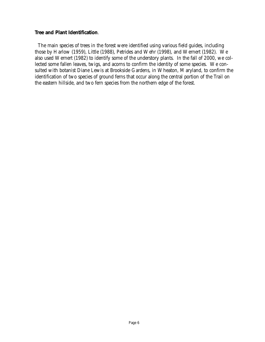#### **Tree and Plant Identification**.

The main species of trees in the forest were identified using various field guides, including those by Harlow (1959), Little (1988), Petrides and Wehr (1998), and Wernert (1982). We also used Wernert (1982) to identify some of the understory plants. In the fall of 2000, we collected some fallen leaves, twigs, and acorns to confirm the identity of some species. We consulted with botanist Diane Lewis at Brookside Gardens, in Wheaton, Maryland, to confirm the identification of two species of ground ferns that occur along the central portion of the Trail on the eastern hillside, and two fern species from the northern edge of the forest.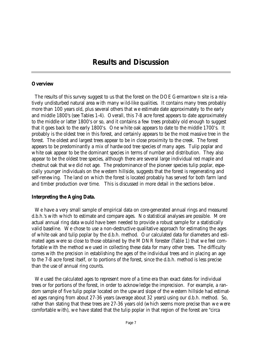### **Results and Discussion**

#### **Overview**

The results of this survey suggest to us that the forest on the DOE Germantown site is a relatively undisturbed natural area with many wild-like qualities. It contains many trees probably more than 100 years old, plus several others that we estimate date approximately to the early and middle 1800's (see Tables 1-4). Overall, this 7-8 acre forest appears to date approximately to the middle or latter 1800's or so, and it contains a few trees probably old enough to suggest that it goes back to the early 1800's. One white oak appears to date to the middle 1700's. It probably is the oldest tree in this forest, and certainly appears to be the most massive tree in the forest. The oldest and largest trees appear to be in close proximity to the creek. The forest appears to be predominantly a mix of hardwood tree species of many ages. Tulip poplar and white oak appear to be the dominant species in terms of number and distribution. They also appear to be the oldest tree species, although there are several large individual red maple and chestnut oak that we did not age. The predominance of the pioneer species tulip poplar, especially younger individuals on the western hillside, suggests that the forest is regenerating and self-renewing. The land on which the forest is located probably has served for both farm land and timber production over time. This is discussed in more detail in the sections below.

#### **Interpreting the Aging Data.**

We have a very small sample of empirical data on core-generated annual rings and measured d.b.h.'s with which to estimate and compare ages. No statistical analyses are possible. More actual annual ring data would have been needed to provide a robust sample for a statistically valid baseline. We chose to use a non-destructive qualitative approach for estimating the ages of white oak and tulip poplar by the d.b.h. method. Our calculated data for diameters and estimated ages were so close to those obtained by the MDNR forester (Table 1) that we feel comfortable with the method we used in collecting these data for many other trees. The difficulty comes with the precision in establishing the ages of the individual trees and in placing an age to the 7-8 acre forest itself, or to portions of the forest, since the d.b.h. method is less precise than the use of annual ring counts.

We used the calculated ages to represent more of a time era than exact dates for individual trees or for portions of the forest, in order to acknowledge the imprecision. For example, a random sample of five tulip poplar located on the upward slope of the western hillside had estimated ages ranging from about 27-36 years (average about 32 years) using our d.b.h. method. So, rather than stating that these trees are 27-36 years old (which seems more precise than we were comfortable with), we have stated that the tulip poplar in that region of the forest are "circa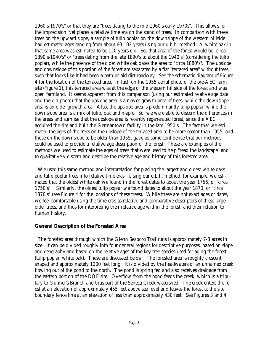1960's-1970's" or that they are "trees dating to the mid-1960's-early 1970s". This allows for the imprecision, yet places a relative time era on the stand of trees. In comparison with these trees on the upward slope, a sample of tulip poplar on the downslope of the western hillside had estimated ages ranging from about 60-102 years using our d.b.h. method. A white oak in that same area was estimated to be 120 years old. So, that area of the forest would be "circa 1890's-1940's" or "trees dating from the late 1890's to about the 1940's" (considering the tulip poplar), while the presence of the older white oak dates the area to "circa 1880's". The upslope and downslope of this portion of the forest are separated by a flat "terraced area" without trees, such that looks like it had been a path or old dirt roadway. See the schematic diagram of Figure 4 for the location of the terraced area. In fact, on the 1955 aerial photo of the pre-AEC farm site (Figure 1), this terraced area was at the edge of the western hillside of the forest and was open farmland. It seems apparent from this comparison (using our estimated relative age data and the old photo) that the upslope area is a newer growth area of trees, while the downslope area is an older growth area. Also, the upslope area is predominantly tulip poplar, while the downslope area is a mix of tulip, oak and maple. So, we were able to discern the differences in the areas and surmise that the upslope area is recently regenerated forest, since the AEC acquired the site and built the Germantown facility in the late 1950's. The fact that we estimated the ages of the trees on the upslope of the terraced area to be more recent than 1955, and those on the downslope to be older than 1955, gave us some confidence that our methods could be used to provide a relative age description of the forest. These are examples of the methods we used to estimate the ages of trees that were used to help "read the landscape" and to qualitatively discern and describe the relative age and history of this forested area.

We used this same method and interpretation for placing the largest and oldest white oaks and tulip poplar trees into relative time eras. Using our d.b.h. method, for example, we estimated that the oldest white oak we found in the forest dates to about the year 1756, or "circa 1750's". Similarly, the oldest tulip poplar we found dates to about the year 1870, or "circa 1870's" (see Figure 4 for the locations of these trees). While these are not exact ages or dates, we feel comfortable using the time eras as relative and comparative descriptors of these large older trees, and thus for interpreting their relative age within the forest, and their relation to human history.

#### **General Description of the Forested Area**

The forested area through which the Glenn Seaborg Trail runs is approximately 7-8 acres in size. It can be divided roughly into four general regions for descriptive purposes, based on slope and geography and based on the relative ages of the key tree species used for aging the forest (tulip poplar, white oak). These are discussed below. The forested area is roughly crescent shaped and approximately 1200 feet long. It is divided by the headwaters of an unnamed creek flowing out of the pond to the north. The pond is spring fed and also receives drainage from the eastern portion of the DOE site. Overflow from the pond feeds the creek, which is a tributary to Gunner's Branch and thus part of the Seneca Creek watershed. The creek enters the forest at an elevation of approximately 455 feet above sea level and leaves the forest at the site boundary fence line at an elevation of less than approximately 430 feet. See Figures 3 and 4.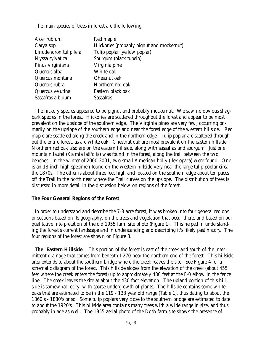The main species of trees in forest are the following:

| Acer rubrum             | Red maple                                 |
|-------------------------|-------------------------------------------|
| Carya spp.              | Hickories (probably pignut and mockernut) |
| Liriodendron tulipifera | Tulip poplar (yellow poplar)              |
| Nyssa sylvatica         | Sourgum (black tupelo)                    |
| Pinus virginiana        | Virginia pine                             |
| Quercus alba            | White oak                                 |
| Quercus montana         | Chestnut oak                              |
| Quercus rubra           | Northern red oak                          |
| Quercus velutina        | Eastern black oak                         |
| Sassafras albidum       | Sassafras                                 |

The hickory species appeared to be pignut and probably mockernut. We saw no obvious shagbark species in the forest. Hickories are scattered throughout the forest and appear to be most prevalent on the upslope of the southern edge. The Virginia pines are very few, occurring primarily on the upslope of the southern edge and near the forest edge of the western hillside. Red maple are scattered along the creek and in the northern edge. Tulip poplar are scattered throughout the entire forest, as are white oak. Chestnut oak are most prevalent on the eastern hillside. Northern red oak also are on the eastern hillside, along with sassafras and sourgum. Just one mountain laurel *(Kalmia latifolia)* was found in the forest, along the trail between the two benches. In the winter of 2000-2001, two small American holly *(Ilex opaca)* were found. One is an 18-inch high specimen found on the western hillside very near the large tulip poplar circa the 1870s. The other is about three feet high and located on the southern edge about ten paces off the Trail to the north near where the Trail curves on the upslope. The distribution of trees is discussed in more detail in the discussion below on regions of the forest.

#### **The Four General Regions of the Forest**

In order to understand and describe the 7-8 acre forest, it was broken into four general regions or sections based on its geography, on the trees and vegetation that occur there, and based on our qualitative interpretation of the old 1955 farm site photo (Figure 1). This helped in understanding the forest's current landscape and in understanding and describing it's likely past history. The four regions of the forest are shown on Figure 3.

**The "Eastern Hillside"**. This portion of the forest is east of the creek and south of the intermittent drainage that comes from beneath I-270 near the northern end of the forest. This hillside area extends to about the southern bridge where the creek leaves the site. See Figure 4 for a schematic diagram of the forest. This hillside slopes from the elevation of the creek (about 455 feet where the creek enters the forest) up to approximately 480 feet at the F-0 elbow in the fence line. The creek leaves the site at about the 430-foot elevation. The upland portion of this hillside is somewhat rocky, with sparse undergrowth of plants. The hillside contains some white oaks that are estimated to be in the 119 - 133 year old range (Table 1), thus dating to about the 1860's - 1880's or so. Some tulip poplars very close to the southern bridge are estimated to date to about the 1920's. This hillside area contains many trees with a wide range in size, and thus probably in age as well. The 1955 aerial photo of the Dosh farm site shows the presence of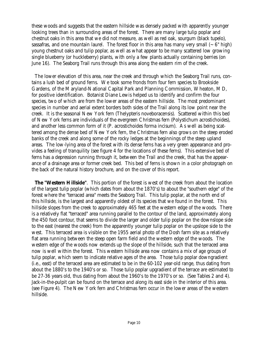these woods and suggests that the eastern hillside was densely packed with apparently younger looking trees than in surrounding areas of the forest. There are many large tulip poplar and chestnut oaks in this area that we did not measure, as well as red oak, sourgum (black tupelo), sassafras, and one mountain laurel. The forest floor in this area has many very small  $(-6<sup>n</sup> high)$ young chestnut oaks and tulip poplar, as well as what appear to be many scattered low growing single blueberry (or huckleberry) plants, with only a few plants actually containing berries (on June 16). The Seaborg Trail runs through this area along the eastern rim of the creek.

The lower elevation of this area, near the creek and through which the Seaborg Trail runs, contains a lush bed of ground ferns. We took some fronds from four fern species to Brookside Gardens, of the Maryland-National Capital Park and Planning Commission, Wheaton, MD, for positive identification. Botanist Diane Lewis helped us to identify and confirm the four species, two of which are from the lower areas of the eastern hillside. The most predominant species in number and aerial extent borders both sides of the Trail along its low point near the creek. It is the seasonal New York fern *(Thelypteris noveboracensis)*. Scattered within this bed of New York ferns are individuals of the evergreen Christmas fern (Polystichum acrostichoides), and another less common form of it *(P. acrostichoides* forma *incisum)*. As well as being scattered among the dense bed of New York fern, the Christmas fern also grows on the steep eroded banks of the creek and along some of the rocky ledges at the beginnings of the steep upland areas. The low-lying area of the forest with its dense ferns has a very green appearance and provides a feeling of tranquility (see figure 4 for the locations of these ferns). This extensive bed of ferns has a depression running through it, between the Trail and the creek, that has the appearance of a drainage area or former creek bed. This bed of ferns is shown in a color photograph on the back of the natural history brochure, and on the cover of this report.

**The "Western Hillside"**. This portion of the forest is west of the creek from about the location of the largest tulip poplar (which dates from about the 1870's) to about the "southern edge" of the forest where the "terraced area" meets the Seaborg Trail. This tulip poplar, at the north end of this hillside, is the largest and apparently oldest of its species that we found in the forest. This hillside slopes from the creek to approximately 465 feet at the western edge of the woods. There is a relatively flat "terraced" area running parallel to the contour of the land, approximately along the 450 foot contour, that seems to divide the larger and older tulip poplar on the downslope side to the east (nearest the creek) from the apparently younger tulip poplar on the upslope side to the west. This terraced area is visible on the 1955 aerial photo of the Dosh farm site as a relatively flat area running between the steep open farm field and the western edge of the woods. The western edge of the woods now extends up the slope of the hillside, such that the terraced area now is well within the forest. This western hillside area now contains a mix of age groups of tulip poplar, which seem to indicate relative ages of the area. Those tulip poplar downgradient (i.e., east) of the terraced area are estimated to be in the 60-102 year-old range, thus dating from about the 1880's to the 1940's or so. Those tulip poplar upgradient of the terrace are estimated to be 27-36 years old, thus dating from about the 1960's to the 1970's or so. (See Tables 2 and 4). Jack-in-the-pulpit can be found on the terrace and along its east side in the interior of this area. (see Figure 4). The New York fern and Christmas fern occur in the lower areas of the western hillside.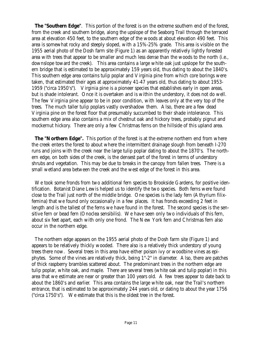**The "Southern Edge"**. This portion of the forest is on the extreme southern end of the forest, from the creek and southern bridge, along the upslope of the Seaborg Trail through the terraced area at elevation 450 feet, to the southern edge of the woods at about elevation 490 feet. This area is somewhat rocky and steeply sloped, with a 15%-25% grade. This area is visible on the 1955 aerial photo of the Dosh farm site (Figure 1) as an apparently relatively lightly forested area with trees that appear to be smaller and much less dense than the woods to the north (i.e., downslope toward the creek). This area contains a large white oak just upslope for the southern bridge that is estimated to be approximately 159 years old, thus dating to about the 1840's. This southern edge area contains tulip poplar and Virginia pine from which core borings were taken, that estimated their ages at approximately 41-47 years old, thus dating to about 1953- 1959 ("circa 1950's"). Virginia pine is a pioneer species that establishes early in open areas, but is shade intolerant. Once it is overtaken and is within the understory, it does not do well. The few Virginia pine appear to be in poor condition, with leaves only at the very top of the trees. The much taller tulip poplars vastly overshadow them. Also, there are a few dead Virginia pine on the forest floor that presumably succumbed to their shade intolerance. This southern edge area also contains a mix of chestnut oak and hickory trees, probably pignut and mockernut hickory. There are only a few Christmas ferns on the hillside of this upland area.

**The "Northern Edge".** This portion of the forest is at the extreme northern end from where the creek enters the forest to about where the intermittent drainage slough from beneath I-270 runs and joins with the creek near the large tulip poplar dating to about the 1870's. The northern edge, on both sides of the creek, is the densest part of the forest in terms of understory shrubs and vegetation. This may be due to breaks in the canopy from fallen trees. There is a small wetland area between the creek and the west edge of the forest in this area.

We took some fronds from two additional fern species to Brookside Gardens, for positive identification. Botanist Diane Lewis helped us to identify the two species. Both ferns were found close to the Trail just north of the middle bridge. One species is the lady fern *(Athyrium filixfemina)* that we found only occasionally in a few places. It has fronds exceeding 2 feet in length and is the tallest of the ferns we have found in the forest. The second species is the sensitive fern or bead fern *(Onoclea sensibilis)*. We have seen only two individuals of this fern, about six feet apart, each with only one frond. The New York fern and Christmas fern also occur in the northern edge.

The northern edge appears on the 1955 aerial photo of the Dosh farm site (Figure 1) and appears to be relatively thickly wooded. There also is a relatively thick understory of young trees there now. Several trees in this area have either poison ivy or woodbine vines as epiphytes. Some of the vines are relatively thick, being 1"-2" in diameter. Also, there are patches of thick raspberry brambles scattered about. The predominant trees in the northern edge are tulip poplar, white oak, and maple. There are several trees (white oak and tulip poplar) in this area that we estimate are near or greater than 100 years old. A few trees appear to date back to about the 1860's and earlier. This area contains the large white oak, near the Trail's northern entrance, that is estimated to be approximately 244 years old, or dating to about the year 1756 ("circa 1750's"). We estimate that this is the oldest tree in the forest.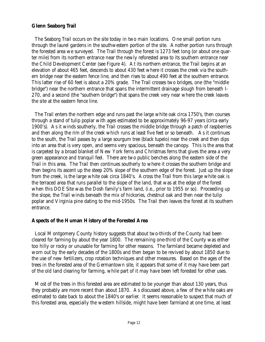#### **Glenn Seaborg Trail**

The Seaborg Trail occurs on the site today in two main locations. One small portion runs through the laurel gardens in the southwestern portion of the site. Another portion runs through the forested area we surveyed. The Trail through the forest is 1273 feet long (or about one quarter mile) from its northern entrance near the newly reforested area to its southern entrance near the Child Development Center (see Figure 4). At its northern entrance, the Trail begins at an elevation of about 465 feet, descends to about 430 feet where it crosses the creek via the southern bridge near the eastern fence line, and then rises to about 490 feet at the southern entrance. This latter rise of 60 feet is about a 20% grade. The Trail crosses two bridges, one (the "middle bridge") near the northern entrance that spans the intermittent drainage slough from beneath I-270, and a second (the "southern bridge") that spans the creek very near where the creek leaves the site at the eastern fence line.

The Trail enters the northern edge and runs past the large white oak circa 1750's, then courses through a stand of tulip poplar with ages estimated to be approximately 96-97 years (circa early 1900's). As it winds southerly, the Trail crosses the middle bridge through a patch of raspberries and then along the rim of the creek which runs at least five feet or so beneath. As it continues to the south, the Trail passes by a large sourgum tree (black tupelo) near the creek and then dips into an area that is very open, and seems very spacious, beneath the canopy. This is the area that is carpeted by a broad blanket of New York ferns and Christmas ferns that gives the area a very green appearance and tranquil feel. There are two public benches along the eastern side of the Trail in this area. The Trail then continues southerly to where it crosses the southern bridge and then begins its ascent up the steep 20% slope of the southern edge of the forest. Just up the slope from the creek, is the large white oak circa 1840's. Across the Trail from this large white oak is the terraced area that runs parallel to the slope of the land, that was at the edge of the forest when this DOE Site was the Dosh family's farm land, (i.e., prior to 1955 or so). Proceeding up the slope, the Trail winds beneath the mix of hickories, chestnut oak and then near the tulip poplar and Virginia pine dating to the mid-1950s. The Trail then leaves the forest at its southern entrance.

#### **Aspects of the Human History of the Forested Area**

Local Montgomery County history suggests that about two-thirds of the County had been cleared for farming by about the year 1800. The remaining one-third of the County was either too hilly or rocky or unusable for farming for other reasons. The farmland became depleted and worn out by the early decades of the 1800s and then began to be revived by about 1850 due to the use of new fertilizers, crop rotation techniques and other measures. Based on the ages of the trees in the forested area of the Germantown site, it appears that some of it may have been part of the old land clearing for farming, while part of it may have been left forested for other uses.

Most of the trees in this forested area are estimated to be younger than about 130 years, thus they probably are more recent than about 1870. As discussed above, a few of the white oaks are estimated to date back to about the 1840's or earlier. It seems reasonable to suspect that much of this forested area, especially the western hillside, might have been farmland at one time, at least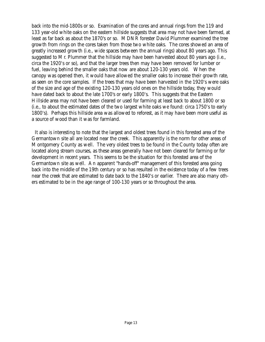back into the mid-1800s or so. Examination of the cores and annual rings from the 119 and 133 year-old white oaks on the eastern hillside suggests that area may not have been farmed, at least as far back as about the 1870's or so. MDNR forester David Plummer examined the tree growth from rings on the cores taken from those two white oaks. The cores showed an area of greatly increased growth (i.e., wide spaces between the annual rings) about 80 years ago. This suggested to Mr. Plummer that the hillside may have been harvested about 80 years ago (i.e., circa the 1920's or so), and that the larger trees then may have been removed for lumber or fuel, leaving behind the smaller oaks that now are about 120-130 years old. When the canopy was opened then, it would have allowed the smaller oaks to increase their growth rate, as seen on the core samples. If the trees that may have been harvested in the 1920's were oaks of the size and age of the existing 120-130 years old ones on the hillside today, they would have dated back to about the late 1700's or early 1800's. This suggests that the Eastern Hillside area may not have been cleared or used for farming at least back to about 1800 or so (i.e., to about the estimated dates of the two largest white oaks we found: circa 1750's to early 1800's). Perhaps this hillside area was allowed to reforest, as it may have been more useful as a source of wood than it was for farmland.

It also is interesting to note that the largest and oldest trees found in this forested area of the Germantown site all are located near the creek. This apparently is the norm for other areas of Montgomery County as well. The very oldest trees to be found in the County today often are located along stream courses, as these areas generally have not been cleared for farming or for development in recent years. This seems to be the situation for this forested area of the Germantown site as well. An apparent "hands-off" management of this forested area going back into the middle of the 19th century or so has resulted in the existence today of a few trees near the creek that are estimated to date back to the 1840's or earlier. There are also many others estimated to be in the age range of 100-130 years or so throughout the area.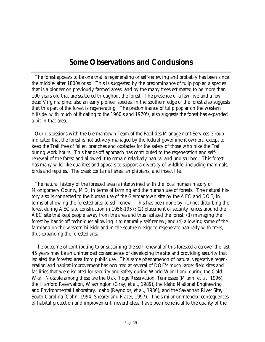# **Some Observations and Conclusions**

The forest appears to be one that is regenerating or self-renewing and probably has been since the middle-latter 1800s or so. This is suggested by the predominance of tulip poplar, a species that is a pioneer on previously farmed areas, and by the many trees estimated to be more than 100 years old that are scattered throughout the forest. The presence of a few live and a few dead Virginia pine, also an early pioneer species, in the southern edge of the forest also suggests that this part of the forest is regenerating. The predominance of tulip poplar on the western hillside, with much of it dating to the 1960's and 1970's, also suggests the forest has expanded a bit in that area.

Our discussions with the Germantown Team of the Facilities Management Services Group indicated that the forest is not actively managed by the federal government owners, except to keep the Trail free of fallen branches and obstacles for the safety of those who hike the Trail during work hours. This hands-off approach has contributed to the regeneration and selfrenewal of the forest and allowed it to remain relatively natural and undisturbed. This forest has many wild-like qualities and appears to support a diversity of wildlife, including mammals, birds and reptiles. The creek contains fishes, amphibians, and insect life.

The natural history of the forested area is intertwined with the local human history of Montgomery County, MD, in terms of farming and the human use of forests. The natural history also is connected to the human use of the Germantown site by the AEC and DOE, in terms of allowing the forested area to self-renew. This has been done by: (1) not disturbing the forest during AEC site construction in 1956-1957; (2) placement of security fences around the AEC site that kept people away from the area and thus isolated the forest; (3) managing the forest by hands-off techniques allowing it to naturally self-renew; and (4) allowing some of the farmland on the western hillside and in the southern edge to regenerate naturally with trees, thus expanding the forested area.

The outcome of contributing to or sustaining the self-renewal of this forested area over the last 45 years may be an unintended consequence of developing the site and providing security that isolated the forested area from public use. This same phenomenon of natural vegetative regeneration and habitat improvement has occurred at several of DOE's much larger field sites and facilities that were isolated for security and safety during World War II and during the Cold War. Notable among these are the Oak Ridge Reservation, Tennessee (Mann, et al., 1996), the Hanford Reservation, Washington (Gray, et al., 1989), the Idaho National Engineering and Environmental Laboratory, Idaho (Reynolds, et al., 1986), and the Savannah River Site, South Carolina (Cohn, 1994; Shearer and Frazer, 1997). The similar unintended consequences of habitat protection and improvement, nevertheless, have been beneficial to the quality of the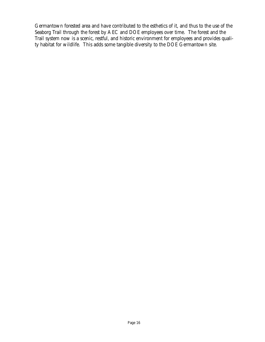Germantown forested area and have contributed to the esthetics of it, and thus to the use of the Seaborg Trail through the forest by AEC and DOE employees over time. The forest and the Trail system now is a scenic, restful, and historic environment for employees and provides quality habitat for wildlife. This adds some tangible diversity to the DOE Germantown site.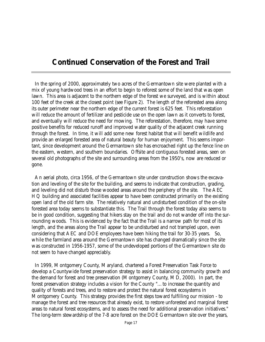# **Continued Conservation of the Forest and Trail**

In the spring of 2000, approximately two acres of the Germantown site were planted with a mix of young hardwood trees in an effort to begin to reforest some of the land that was open lawn. This area is adjacent to the northern edge of the forest we surveyed, and is within about 100 feet of the creek at the closest point (see Figure 2). The length of the reforested area along its outer perimeter near the northern edge of the current forest is 625 feet. This reforestation will reduce the amount of fertilizer and pesticide use on the open lawn as it converts to forest, and eventually will reduce the need for mowing. The reforestation, therefore, may have some positive benefits for reduced runoff and improved water quality of the adjacent creek running through the forest. In time, it will add some new forest habitat that will benefit wildlife and provide an enlarged forested area of natural beauty for human enjoyment. This seems important, since development around the Germantown site has encroached right up the fence line on the eastern, western, and southern boundaries. Offsite and contiguous forested areas, seen on several old photographs of the site and surrounding areas from the 1950's, now are reduced or gone.

An aerial photo, circa 1956, of the Germantown site under construction shows the excavation and leveling of the site for the building, and seems to indicate that construction, grading, and leveling did not disturb those wooded areas around the periphery of the site. The AEC HQ building and associated facilities appear to have been constructed primarily on the existing open land of the old farm site. The relatively natural and undisturbed condition of the on-site forested area today seems to substantiate this. The Trail through the forest today also seems to be in good condition, suggesting that hikers stay on the trail and do not wander off into the surrounding woods. This is evidenced by the fact that the Trail is a narrow path for most of its length, and the areas along the Trail appear to be undisturbed and not trampled upon, even considering that AEC and DOE employees have been hiking the trail for 30-35 years. So, while the farmland area around the Germantown site has changed dramatically since the site was constructed in 1956-1957, some of the undeveloped portions of the Germantown site do not seem to have changed appreciably.

In 1999, Montgomery County, Maryland, chartered a Forest Preservation Task Force to develop a Countywide forest preservation strategy to assist in balancing community growth and the demand for forest and tree preservation (Montgomery County, MD, 2000). In part, the forest preservation strategy includes a vision for the County "...to increase the quantity and quality of forests and trees, and to restore and protect the natural forest ecosystems in Montgomery County. This strategy provides the first steps toward fulfilling our mission - to manage the forest and tree resources that already exist, to restore unforested and marginal forest areas to natural forest ecosystems, and to assess the need for additional preservation initiatives." The long-term stewardship of the 7-8 acre forest on the DOE Germantown site over the years,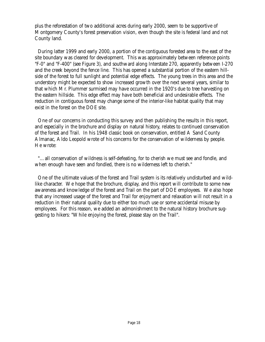plus the reforestation of two additional acres during early 2000, seem to be supportive of Montgomery County's forest preservation vision, even though the site is federal land and not County land.

During latter 1999 and early 2000, a portion of the contiguous forested area to the east of the site boundary was cleared for development. This was approximately between reference points "F-0" and "F-400" (see Figure 3), and southward along Interstate 270, apparently between I-270 and the creek beyond the fence line. This has opened a substantial portion of the eastern hillside of the forest to full sunlight and potential edge effects. The young trees in this area and the understory might be expected to show increased growth over the next several years, similar to that which Mr. Plummer surmised may have occurred in the 1920's due to tree harvesting on the eastern hillside. This edge effect may have both beneficial and undesirable effects. The reduction in contiguous forest may change some of the interior-like habitat quality that may exist in the forest on the DOE site.

One of our concerns in conducting this survey and then publishing the results in this report, and especially in the brochure and display on natural history, relates to continued conservation of the forest and Trail. In his 1948 classic book on conservation, entitled *A Sand County Almanac*, Aldo Leopold wrote of his concerns for the conservation of wilderness by people. He wrote:

"…all conservation of wildness is self-defeating, for to cherish we must see and fondle, and when enough have seen and fondled, there is no wilderness left to cherish."

One of the ultimate values of the forest and Trail system is its relatively undisturbed and wildlike character. We hope that the brochure, display, and this report will contribute to some new awareness and knowledge of the forest and Trail on the part of DOE employees. We also hope that any increased usage of the forest and Trail for enjoyment and relaxation will not result in a reduction in their natural quality due to either too much use or some accidental misuse by employees. For this reason, we added an admonishment to the natural history brochure suggesting to hikers: "While enjoying the forest, please stay on the Trail".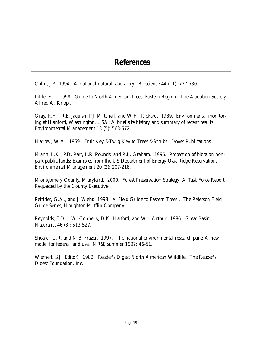### **References**

Cohn, J.P. 1994. A national natural laboratory. *Bioscience* 44 (11): 727-730.

Little, E.L. 1998. *Guide to North American Trees*, Eastern Region. The Audubon Society, Alfred A. Knopf.

Gray, R.H., R.E. Jaquish, P.J. Mitchell, and W.H. Rickard. 1989. Environmental monitoring at Hanford, Washington, USA: A brief site history and summary of recent results. *Environmental Management* 13 (5): 563-572.

Harlow, W.A. 1959. *Fruit Key & Twig Key to Trees & Shrubs*. Dover Publications.

Mann, L.K., P.D. Parr, L.R. Pounds, and R.L. Graham. 1996. Protection of biota on nonpark public lands: Examples from the US Department of Energy Oak Ridge Reservation. *Environmental Management* 20 (2): 207-218.

Montgomery County, Maryland. 2000. Forest Preservation Strategy: A Task Force Report Requested by the County Executive.

Petrides, G.A., and J. Wehr. 1998. *A Field Guide to Eastern Trees* . The Peterson Field Guide Series, Houghton Mifflin Company.

Reynolds, T.D., J.W. Connelly, D.K. Halford, and W.J. Arthur. 1986. *Great Basin Naturalist* 46 (3): 513-527.

Shearer, C.R. and N.B. Frazer. 1997. The national environmental research park: A new model for federal land use. NR&E summer 1997: 46-51.

Wernert, S.J. (Editor). 1982. *Reader's Digest North American Wildlife*. The Reader's Digest Foundation. Inc.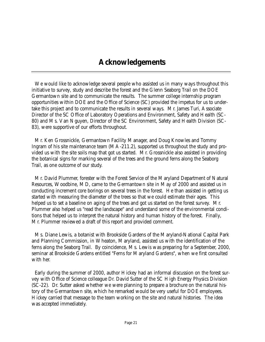## **Acknowledgements**

We would like to acknowledge several people who assisted us in many ways throughout this initiative to survey, study and describe the forest and the Glenn Seaborg Trail on the DOE Germantown site and to communicate the results. The summer college internship program opportunities within DOE and the Office of Science (SC) provided the impetus for us to undertake this project and to communicate the results in several ways. Mr. James Turi, Associate Director of the SC Office of Laboratory Operations and Environment, Safety and Health (SC-80) and Ms. Van Nguyen, Director of the SC Environment, Safety and Health Division (SC-83), were supportive of our efforts throughout.

Mr. Ken Grossnickle, Germantown Facility Manager, and Doug Knowles and Tommy Ingram of his site maintenance team (MA-211.2), supported us throughout the study and provided us with the site soils map that got us started. Mr. Grossnickle also assisted in providing the botanical signs for marking several of the trees and the ground ferns along the Seaborg Trail, as one outcome of our study.

Mr. David Plummer, forester with the Forest Service of the Maryland Department of Natural Resources, Woodbine, MD, came to the Germantown site in May of 2000 and assisted us in conducting increment core borings on several trees in the forest. He than assisted in getting us started with measuring the diameter of the trees so that we could estimate their ages. This helped us to set a baseline on aging of the trees and got us started on the forest survey. Mr. Plummer also helped us "read the landscape" and understand some of the environmental conditions that helped us to interpret the natural history and human history of the forest. Finally, Mr. Plummer reviewed a draft of this report and provided comment.

Ms. Diane Lewis, a botanist with Brookside Gardens of the Maryland-National Capital Park and Planning Commission, in Wheaton, Maryland, assisted us with the identification of the ferns along the Seaborg Trail. By coincidence, Ms. Lewis was preparing for a September, 2000, seminar at Brookside Gardens entitled "Ferns for Maryland Gardens", when we first consulted with her.

Early during the summer of 2000, author Hickey had an informal discussion on the forest survey with Office of Science colleague Dr. David Sutter of the SC High Energy Physics Division (SC-22). Dr. Sutter asked whether we were planning to prepare a brochure on the natural history of the Germantown site, which he remarked would be very useful for DOE employees. Hickey carried that message to the team working on the site and natural histories. The idea was accepted immediately.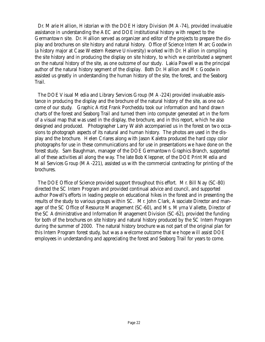Dr. Marie Hallion, Historian with the DOE History Division (MA-74), provided invaluable assistance in understanding the AEC and DOE institutional history with respect to the Germantown site. Dr. Hallion served as organizer and editor of the projects to prepare the display and brochures on site history and natural history. Office of Science Intern Marc Goodwin (a history major at Case Western Reserve University) worked with Dr. Hallion in compiling the site history and in producing the display on site history, to which we contributed a segment on the natural history of the site, as one outcome of our study. Lakia Powell was the principal author of the natural history segment of the display. Both Dr. Hallion and Mr. Goodwin assisted us greatly in understanding the human history of the site, the forest, and the Seaborg Trail.

The DOE Visual Media and Library Services Group (MA-224) provided invaluable assistance in producing the display and the brochure of the natural history of the site, as one outcome of our study. Graphic Artist Frank Porcheddu took our information and hand drawn charts of the forest and Seaborg Trail and turned them into computer generated art in the form of a visual map that was used in the display, the brochure, and in this report, which he also designed and produced. Photographer Larry Walsh accompanied us in the forest on two occasions to photograph aspects of its natural and human history. The photos are used in the display and the brochure. Helen Criares along with Jason Kaletra produced the hard copy color photographs for use in these communications and for use in presentations we have done on the forest study. Sam Baughman, manager of the DOE Germantown Graphics Branch, supported all of these activities all along the way. The late Bob Kleppner, of the DOE Print Media and Mail Services Group (MA-221), assisted us with the commercial contracting for printing of the brochures.

The DOE Office of Science provided support throughout this effort. Mr. Bill Nay (SC-80) directed the SC Intern Program and provided continual advice and council, and supported author Powell's efforts in leading people on educational hikes in the forest and in presenting the results of the study to various groups within SC. Mr. John Clark, Associate Director and manager of the SC Office of Resource Management (SC-60), and Ms. Myrna Vallette, Director of the SC Administrative and Information Management Division (SC-62), provided the funding for both of the brochures on site history and natural history produced by the SC Intern Program during the summer of 2000. The natural history brochure was not part of the original plan for this Intern Program forest study, but was a welcome outcome that we hope will assist DOE employees in understanding and appreciating the forest and Seaborg Trail for years to come.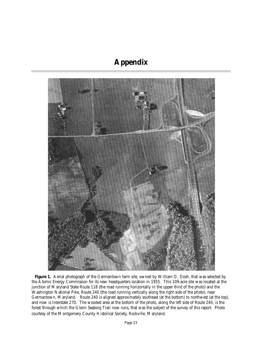# **Appendix**



Figure 1. Aerial photograph of the Germantown farm site, owned by William O. Dosh, that was selected by the Atomic Energy Commission for its new headquarters location in 1955. This 109-acre site was located at the junction of Maryland State Route 118 (the road running horizontally in the upper third of the photo) and the Washington National Pike, Route 240 (the road running vertically along the right side of the photo), near Germantown, Maryland. Route 240 is aligned approximately southeast (at the bottom) to northwest (at the top), and now is Interstate 270. The wooded area at the bottom of the photo, along the left side of Route 240, is the forest through which the Glenn Seaborg Trail now runs, that was the subject of the survey of this report. Photo courtesy of the Montgomery County Historical Society, Rockville, Maryland.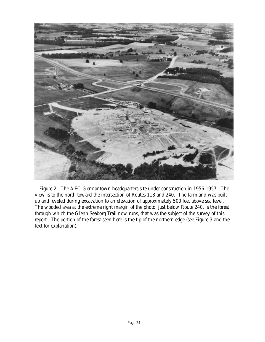

Figure 2. The AEC Germantown headquarters site under construction in 1956-1957. The view is to the north toward the intersection of Routes 118 and 240. The farmland was built up and leveled during excavation to an elevation of approximately 500 feet above sea level. The wooded area at the extreme right margin of the photo, just below Route 240, is the forest through which the Glenn Seaborg Trail now runs, that was the subject of the survey of this report. The portion of the forest seen here is the tip of the northern edge (see Figure 3 and the text for explanation).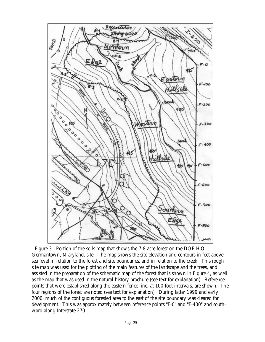

Figure 3. Portion of the soils map that shows the 7-8 acre forest on the DOE HQ Germantown, Maryland, site. The map shows the site elevation and contours in feet above sea level in relation to the forest and site boundaries, and in relation to the creek. This rough site map was used for the plotting of the main features of the landscape and the trees, and assisted in the preparation of the schematic map of the forest that is shown in Figure 4, as well as the map that was used in the natural history brochure (see text for explanation). Reference points that were established along the eastern fence line, at 100-foot intervals, are shown. The four regions of the forest are noted (see text for explanation). During latter 1999 and early 2000, much of the contiguous forested area to the east of the site boundary was cleared for development. This was approximately between reference points "F-0" and "F-400" and southward along Interstate 270.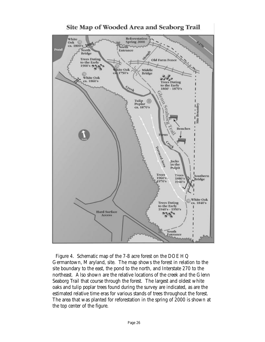

Figure 4. Schematic map of the 7-8 acre forest on the DOE HQ Germantown, Maryland, site. The map shows the forest in relation to the site boundary to the east, the pond to the north, and Interstate 270 to the northeast. Also shown are the relative locations of the creek and the Glenn Seaborg Trail that course through the forest. The largest and oldest white oaks and tulip poplar trees found during the survey are indicated, as are the estimated relative time eras for various stands of trees throughout the forest. The area that was planted for reforestation in the spring of 2000 is shown at the top center of the figure.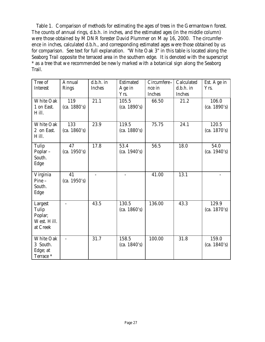Table 1. Comparison of methods for estimating the ages of trees in the Germantown forest. The counts of annual rings, d.b.h. in inches, and the estimated ages (in the middle column) were those obtained by MDNR forester David Plummer on May 16, 2000. The circumference in inches, calculated d.b.h., and corresponding estimated ages were those obtained by us for comparison. See text for full explanation. "White Oak 3" in this table is located along the Seaborg Trail opposite the terraced area in the southern edge. It is denoted with the superscript \* as a tree that we recommended be newly marked with a botanical sign along the Seaborg Trail.

| Tree of<br>Interest                                    | Annual<br>Rings     | $d.b.h.$ in<br>Inches | Estimated<br>Age in<br>Yrs. | Circumfere-<br>nce in<br>Inches | Calculated<br>$d.b.h.$ in<br>Inches | Est. Age in<br>Yrs.   |
|--------------------------------------------------------|---------------------|-----------------------|-----------------------------|---------------------------------|-------------------------------------|-----------------------|
| <b>White Oak</b><br>1 on East.<br>Hill.                | 119<br>(ca. 1880's) | 21.1                  | 105.5<br>(ca. 1890's)       | 66.50                           | 21.2                                | 106.0<br>(ca. 1890's) |
| White Oak<br>2 on East.<br>Hill.                       | 133<br>(ca. 1860's) | 23.9                  | 119.5<br>(ca. 1880's)       | 75.75                           | 24.1                                | 120.5<br>(ca. 1870's) |
| Tulip<br>Poplar -<br>South.<br>Edge                    | 47<br>(ca. 1950's)  | 17.8                  | 53.4<br>(ca. 1940's)        | 56.5                            | 18.0                                | 54.0<br>(ca. 1940's)  |
| Virginia<br>$Pine -$<br>South.<br>Edge                 | 41<br>(ca. 1950's)  |                       |                             | 41.00                           | 13.1                                |                       |
| Largest<br>Tulip<br>Poplar;<br>West. Hill.<br>at Creek |                     | 43.5                  | 130.5<br>(ca. 1860's)       | 136.00                          | 43.3                                | 129.9<br>(ca. 1870's) |
| White Oak<br>3 South.<br>Edge; at<br>Terrace *         |                     | 31.7                  | 158.5<br>(ca. 1840's)       | 100.00                          | 31.8                                | 159.0<br>(ca. 1840's) |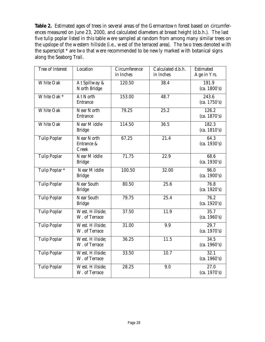**Table 2.** Estimated ages of trees in several areas of the Germantown forest based on circumferences measured on June 23, 2000, and calculated diameters at breast height (d.b.h.). The last five tulip poplar listed in this table were sampled at random from among many similar trees on the upslope of the western hillside (i.e., west of the terraced area). The two trees denoted with the superscript \* are two that were recommended to be newly marked with botanical signs along the Seaborg Trail.

| Tree of Interest          | Location           | Circumference | Calculated d.b.h. | Estimated            |
|---------------------------|--------------------|---------------|-------------------|----------------------|
|                           |                    | in Inches     | in Inches         | Age in Yrs.          |
| <b>White Oak</b>          | At Spillway &      | 120.50        | 38.4              | 191.9                |
|                           | North Bridge       |               |                   | (ca. 1800's)         |
| White Oak *               | At North           | 153.00        | 48.7              | 243.6                |
|                           | Entrance           |               |                   | (ca. 1750's)         |
| <b>White Oak</b>          | <b>Near North</b>  | 79.25         | 25.2              | 126.2                |
|                           | Entrance           |               |                   | (ca. 1870's)         |
| <b>White Oak</b>          | Near Middle        | 114.50        | 36.5              | 182.3                |
|                           | <b>Bridge</b>      |               |                   | (ca. 1810's)         |
| <b>Tulip Poplar</b>       | Near North         | 67.25         | 21.4              | 64.3                 |
|                           | Entrance &         |               |                   | (ca. 1930's)         |
|                           | Creek              |               |                   |                      |
| <b>Tulip Poplar</b>       | Near Middle        | 71.75         | 22.9              | 68.6<br>(ca. 1930's) |
|                           | <b>Bridge</b>      |               |                   |                      |
| Tulip Poplar <sup>*</sup> | <b>Near Middle</b> | 100.50        | 32.00             | 96.0<br>(ca. 1900's) |
|                           | <b>Bridge</b>      |               |                   |                      |
| <b>Tulip Poplar</b>       | Near South         | 80.50         | 25.6              | 76.8                 |
|                           | <b>Bridge</b>      |               |                   | (ca. 1920's)         |
| <b>Tulip Poplar</b>       | Near South         | 79.75         | 25.4              | 76.2                 |
|                           | <b>Bridge</b>      |               |                   | (ca. 1920's)         |
| <b>Tulip Poplar</b>       | West. Hillside:    | 37.50         | 11.9              | 35.7                 |
|                           | W. of Terrace      |               |                   | (ca. 1960's)         |
| <b>Tulip Poplar</b>       | West. Hillside;    | 31.00         | 9.9               | 29.7                 |
|                           | W. of Terrace      |               |                   | (ca. 1970's)         |
| <b>Tulip Poplar</b>       | West. Hillside;    | 36.25         | 11.5              | 34.5                 |
|                           | W. of Terrace      |               |                   | (ca. 1960's)         |
| <b>Tulip Poplar</b>       | West. Hillside;    | 33.50         | 10.7              | 32.1                 |
|                           | W. of Terrace      |               |                   | (ca. 1960's)         |
| <b>Tulip Poplar</b>       | West. Hillside;    | 28.25         | 9.0               | 27.0                 |
|                           | W. of Terrace      |               |                   | (ca. 1970's)         |